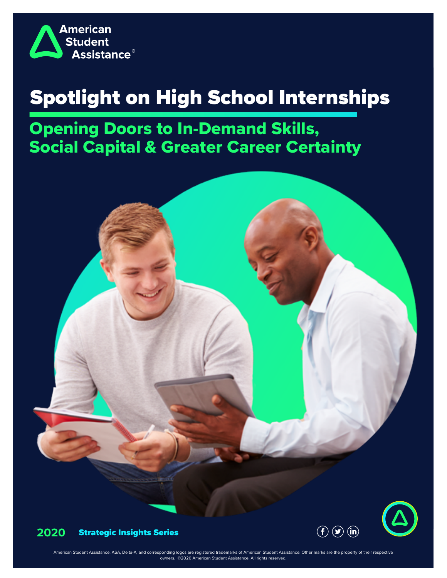

# Spotlight on High School Internships

Opening Doors to In-Demand Skills, Social Capital & Greater Career Certainty





American Student Assistance, ASA, Delta-A, and corresponding logos are registered trademarks of American Student Assistance. Other marks are the property of their respective owners. ©2020 American Student Assistance. All rights reserved.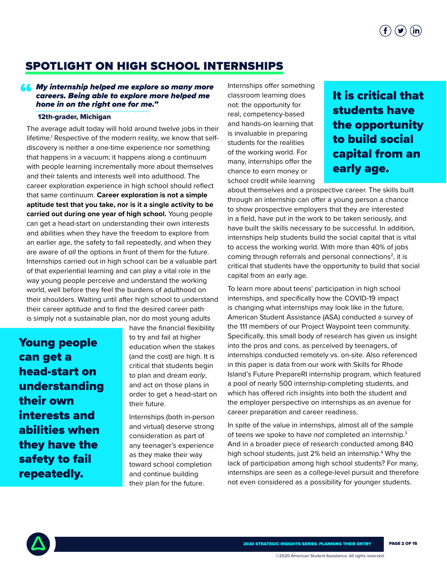$(\blacktriangleright)$   $(\mathbf{in})$ 

## SPOTLIGHT ON HIGH SCHOOL INTERNSHIPS

#### **66** My internship helped me explore so many more<br>careers. Being able to explore more helped me<br>hone in on the right one for me." *careers. Being able to explore more helped me hone in on the right one for me."*

#### 12th-grader, Michigan

The average adult today will hold around twelve jobs in their lifetime.<sup>1</sup> Respective of the modern reality, we know that selfdiscovery is neither a one-time experience nor something that happens in a vacuum; it happens along a continuum with people learning incrementally more about themselves and their talents and interests well into adulthood. The career exploration experience in high school should reflect that same continuum. **Career exploration is not a simple aptitude test that you take, nor is it a single activity to be carried out during one year of high school.** Young people can get a head-start on understanding their own interests and abilities when they have the freedom to explore from an earlier age, the safety to fail repeatedly, and when they are aware of *all* the options in front of them for the future. Internships carried out in high school can be a valuable part of that experiential learning and can play a vital role in the way young people perceive and understand the working world, well before they feel the burdens of adulthood on their shoulders. Waiting until after high school to understand their career aptitude and to find the desired career path is simply not a sustainable plan, nor do most young adults

Young people can get a head-start on understanding their own interests and abilities when they have the safety to fail repeatedly.

have the financial flexibility to try and fail at higher education when the stakes (and the cost) are high. It is critical that students begin to plan and dream *early*, and act on those plans in order to get a head-start on their future.

Internships (both in-person and virtual) deserve strong consideration as part of any teenager's experience as they make their way toward school completion and continue building their plan for the future.

Internships offer something classroom learning does not: the opportunity for real, competency-based and hands-on learning that is invaluable in preparing students for the realities of the working world. For many, internships offer the chance to earn money or school credit while learning

## It is critical that students have the opportunity to build social capital from an early age.

about themselves and a prospective career. The skills built through an internship can offer a young person a chance to show prospective employers that they are interested in a field, have put in the work to be taken seriously, and have built the skills necessary to be successful. In addition, internships help students build the social capital that is vital to access the working world. With more than 40% of jobs coming through referrals and personal connections<sup>2</sup>, it is critical that students have the opportunity to build that social capital from an early age.

To learn more about teens' participation in high school internships, and specifically how the COVID-19 impact is changing what internships may look like in the future, American Student Assistance (ASA) conducted a survey of the 111 members of our Project Waypoint teen community. Specifically, this small body of research has given us insight into the pros and cons, as perceived by teenagers, of internships conducted remotely vs. on-site. Also referenced in this paper is data from our work with Skills for Rhode Island's Future PrepareRI internship program, which featured a pool of nearly 500 internship-completing students, and which has offered rich insights into both the student and the employer perspective on internships as an avenue for career preparation and career readiness.

In spite of the value in internships, almost all of the sample of teens we spoke to have *not* completed an internship.3 And in a broader piece of research conducted among 840 high school students, just 2% held an internship.4 Why the lack of participation among high school students? For many, internships are seen as a college-level pursuit and therefore not even considered as a possibility for younger students.

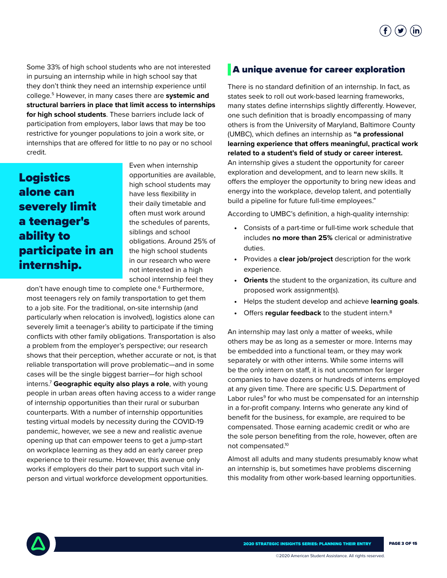

Some 33% of high school students who are not interested in pursuing an internship while in high school say that they don't think they need an internship experience until college.5 However, in many cases there are **systemic and structural barriers in place that limit access to internships for high school students**. These barriers include lack of participation from employers, labor laws that may be too restrictive for younger populations to join a work site, or internships that are offered for little to no pay or no school credit.

## Logistics alone can severely limit a teenager's ability to participate in an internship.

Even when internship opportunities are available, high school students may have less flexibility in their daily timetable and often must work around the schedules of parents, siblings and school obligations. Around 25% of the high school students in our research who were not interested in a high school internship feel they

don't have enough time to complete one.6 Furthermore, most teenagers rely on family transportation to get them to a job site. For the traditional, on-site internship (and particularly when relocation is involved), logistics alone can severely limit a teenager's ability to participate if the timing conflicts with other family obligations. Transportation is also a problem from the employer's perspective; our research shows that their perception, whether accurate or not, is that reliable transportation will prove problematic—and in some cases will be the single biggest barrier—for high school interns.7 **Geographic equity also plays a role**, with young people in urban areas often having access to a wider range of internship opportunities than their rural or suburban counterparts. With a number of internship opportunities testing virtual models by necessity during the COVID-19 pandemic, however, we see a new and realistic avenue opening up that can empower teens to get a jump-start on workplace learning as they add an early career prep experience to their resume. However, this avenue only works if employers do their part to support such vital inperson and virtual workforce development opportunities.

#### A unique avenue for career exploration

There is no standard definition of an internship. In fact, as states seek to roll out work-based learning frameworks, many states define internships slightly differently. However, one such definition that is broadly encompassing of many others is from the University of Maryland, Baltimore County (UMBC), which defines an internship as **"a professional learning experience that offers meaningful, practical work related to a student's field of study or career interest.**  An internship gives a student the opportunity for career exploration and development, and to learn new skills. It offers the employer the opportunity to bring new ideas and energy into the workplace, develop talent, and potentially build a pipeline for future full-time employees."

According to UMBC's definition, a high-quality internship:

- Consists of a part-time or full-time work schedule that includes **no more than 25%** clerical or administrative duties.
- Provides a **clear job/project** description for the work experience.
- **Orients** the student to the organization, its culture and proposed work assignment(s).
- Helps the student develop and achieve **learning goals**.
- Offers **regular feedback** to the student intern.8

An internship may last only a matter of weeks, while others may be as long as a semester or more. Interns may be embedded into a functional team, or they may work separately or with other interns. While some interns will be the only intern on staff, it is not uncommon for larger companies to have dozens or hundreds of interns employed at any given time. There are specific U.S. Department of Labor rules<sup>9</sup> for who must be compensated for an internship in a for-profit company. Interns who generate any kind of benefit for the business, for example, are required to be compensated. Those earning academic credit or who are the sole person benefiting from the role, however, often are not compensated.10

Almost all adults and many students presumably know what an internship is, but sometimes have problems discerning this modality from other work-based learning opportunities.

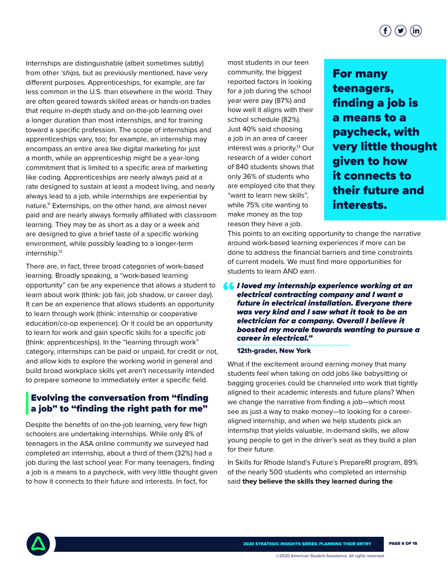Internships are distinguishable (albeit sometimes subtly) from other *'ships,* but as previously mentioned, have very different purposes*.* Apprenticeships, for example, are far less common in the U.S. than elsewhere in the world. They are often geared towards skilled areas or hands-on trades that require in-depth study and on-the-job learning over a longer duration than most internships, and for training toward a specific profession. The scope of internships and apprenticeships vary, too; for example, an internship may encompass an entire area like digital marketing for just a month, while an apprenticeship might be a year-long commitment that is limited to a specific area of marketing like coding. Apprenticeships are nearly always paid at a rate designed to sustain at least a modest living, and nearly always lead to a job, while internships are experiential by nature.11 Externships, on the other hand, are almost never paid and are nearly always formally affiliated with classroom learning. They may be as short as a day or a week and are designed to give a brief taste of a specific working environment, while possibly leading to a longer-term internship.12

There are, in fact, three broad categories of work-based learning. Broadly speaking, a "work-based learning opportunity" can be any experience that allows a student to learn about work (think: job fair, job shadow, or career day). It can be an experience that allows students an opportunity to learn through work (think: internship or cooperative education/co-op experience). Or it could be an opportunity to learn for work and gain specific skills for a specific job (think: apprenticeships). In the "learning through work" category, internships can be paid or unpaid, for credit or not, and allow kids to explore the working world in general and build broad workplace skills yet aren't necessarily intended to prepare someone to immediately enter a specific field.

#### Evolving the conversation from "finding a job" to "finding the right path for me"

Despite the benefits of on-the-job learning, very few high schoolers are undertaking internships. While only 8% of teenagers in the ASA online community we surveyed had completed an internship, about a third of them (32%) had a job during the last school year. For many teenagers, finding a job is a means to a paycheck, with very little thought given to how it connects to their future and interests. In fact, for

most students in our teen community, the biggest reported factors in looking for a job during the school year were pay (87%) and how well it aligns with their school schedule (82%). Just 40% said choosing a job in an area of career interest was a priority.<sup>13</sup> Our research of a wider cohort of 840 students shows that only 36% of students who are employed cite that they "want to learn new skills", while 75% cite wanting to make money as the top reason they have a job.

For many teenagers, finding a job is a means to a paycheck, with very little thought given to how it connects to their future and interests.

This points to an exciting opportunity to change the narrative around work-based learning experiences if more can be done to address the financial barriers and time constraints of current models. We must find more opportunities for students to learn AND earn.

*I loved my internship experience working at an*  "*electrical contracting company and I want a future in electrical installation. Everyone there was very kind and I saw what it took to be an electrician for a company. Overall I believe it boosted my morale towards wanting to pursue a career in electrical."* 

#### 12th-grader, New York

What if the excitement around earning money that many students feel when taking on odd jobs like babysitting or bagging groceries could be channeled into work that tightly aligned to their academic interests and future plans? When we change the narrative from finding a job—which most see as just a way to make money—to looking for a careeraligned internship, and when we help students pick an internship that yields valuable, in-demand skills, we allow young people to get in the driver's seat as they build a plan for their future.

In Skills for Rhode Island's Future's PrepareRI program, 89% of the nearly 500 students who completed an internship said **they believe the skills they learned during the** 

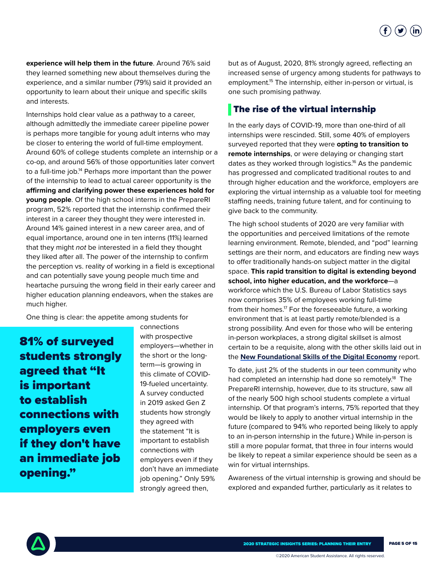

**experience will help them in the future**. Around 76% said they learned something new about themselves during the experience, and a similar number (79%) said it provided an opportunity to learn about their unique and specific skills and interests.

Internships hold clear value as a pathway to a career, although admittedly the immediate career pipeline power is perhaps more tangible for young adult interns who may be closer to entering the world of full-time employment. Around 60% of college students complete an internship or a co-op, and around 56% of those opportunities later convert to a full-time job.<sup>14</sup> Perhaps more important than the power of the internship to lead to actual career opportunity is the **affirming and clarifying power these experiences hold for young people**. Of the high school interns in the PrepareRI program, 52% reported that the internship confirmed their interest in a career they thought they were interested in. Around 14% gained interest in a new career area, and of equal importance, around one in ten interns (11%) learned that they might *not* be interested in a field they thought they liked after all. The power of the internship to confirm the perception vs. reality of working in a field is exceptional and can potentially save young people much time and heartache pursuing the wrong field in their early career and higher education planning endeavors, when the stakes are much higher.

One thing is clear: the appetite among students for

81% of surveyed students strongly agreed that "It is important to establish connections with employers even if they don't have an immediate job opening."

connections with prospective employers—whether in the short or the longterm—is growing in this climate of COVID-19-fueled uncertainty. A survey conducted in 2019 asked Gen Z students how strongly they agreed with the statement "It is important to establish connections with employers even if they don't have an immediate job opening." Only 59% strongly agreed then,

but as of August, 2020, 81% strongly agreed, reflecting an increased sense of urgency among students for pathways to employment.<sup>15</sup> The internship, either in-person or virtual, is one such promising pathway.

#### The rise of the virtual internship

In the early days of COVID-19, more than one-third of all internships were rescinded. Still, some 40% of employers surveyed reported that they were **opting to transition to remote internships**, or were delaying or changing start dates as they worked through logistics.16 As the pandemic has progressed and complicated traditional routes to and through higher education and the workforce, employers are exploring the virtual internship as a valuable tool for meeting staffing needs, training future talent, and for continuing to give back to the community.

The high school students of 2020 are very familiar with the opportunities and perceived limitations of the remote learning environment. Remote, blended, and "pod" learning settings are their norm, and educators are finding new ways to offer traditionally hands-on subject matter in the digital space. **This rapid transition to digital is extending beyond school, into higher education, and the workforce**—a workforce which the U.S. Bureau of Labor Statistics says now comprises 35% of employees working full-time from their homes.<sup>17</sup> For the foreseeable future, a working environment that is at least partly remote/blended is a strong possibility. And even for those who will be entering in-person workplaces, a strong digital skillset is almost certain to be a requisite, along with the other skills laid out in the **[New Foundational Skills of the Digital Economy](https://www.asa.org/research-study/digital-economy-is-shaping-foundational-skills-for-students/)** report.

To date, just 2% of the students in our teen community who had completed an internship had done so remotely.<sup>18</sup> The PrepareRI internship, however, due to its structure, saw all of the nearly 500 high school students complete a virtual internship. Of that program's interns, 75% reported that they would be likely to apply to another virtual internship in the future (compared to 94% who reported being likely to apply to an in-person internship in the future.) While in-person is still a more popular format, that three in four interns would be likely to repeat a similar experience should be seen as a win for virtual internships.

Awareness of the virtual internship is growing and should be explored and expanded further, particularly as it relates to

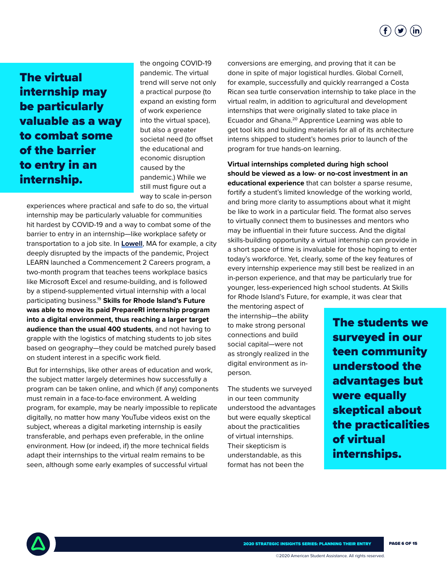

## The virtual internship may be particularly valuable as a way to combat some of the barrier to entry in an internship.

the ongoing COVID-19 pandemic. The virtual trend will serve not only a practical purpose (to expand an existing form of work experience into the virtual space), but also a greater societal need (to offset the educational and economic disruption caused by the pandemic.) While we still must figure out a way to scale in-person

experiences where practical and safe to do so, the virtual internship may be particularly valuable for communities hit hardest by COVID-19 and a way to combat some of the barrier to entry in an internship—like workplace safety or transportation to a job site. In **[Lowell](https://www.lowellsun.com/2020/09/13/virtual-internship-program-helps-lhs-students-gain-work-experience/)**, MA for example, a city deeply disrupted by the impacts of the pandemic, Project LEARN launched a Commencement 2 Careers program, a two-month program that teaches teens workplace basics like Microsoft Excel and resume-building, and is followed by a stipend-supplemented virtual internship with a local participating business.19 **Skills for Rhode Island's Future was able to move its paid PrepareRI internship program into a digital environment, thus reaching a larger target audience than the usual 400 students**, and not having to grapple with the logistics of matching students to job sites based on geography—they could be matched purely based on student interest in a specific work field.

But for internships, like other areas of education and work, the subject matter largely determines how successfully a program can be taken online, and which (if any) components must remain in a face-to-face environment. A welding program, for example, may be nearly impossible to replicate digitally, no matter how many YouTube videos exist on the subject, whereas a digital marketing internship is easily transferable, and perhaps even preferable, in the online environment. How (or indeed, if) the more technical fields adapt their internships to the virtual realm remains to be seen, although some early examples of successful virtual

conversions are emerging, and proving that it can be done in spite of major logistical hurdles. Global Cornell, for example, successfully and quickly rearranged a Costa Rican sea turtle conservation internship to take place in the virtual realm, in addition to agricultural and development internships that were originally slated to take place in Ecuador and Ghana.20 Apprentice Learning was able to get tool kits and building materials for all of its architecture interns shipped to student's homes prior to launch of the program for true hands-on learning.

**Virtual internships completed during high school should be viewed as a low- or no-cost investment in an educational experience** that can bolster a sparse resume, fortify a student's limited knowledge of the working world, and bring more clarity to assumptions about what it might be like to work in a particular field. The format also serves to virtually connect them to businesses and mentors who may be influential in their future success. And the digital skills-building opportunity a virtual internship can provide in a short space of time is invaluable for those hoping to enter today's workforce. Yet, clearly, some of the key features of every internship experience may still best be realized in an in-person experience, and that may be particularly true for younger, less-experienced high school students. At Skills for Rhode Island's Future, for example, it was clear that

the mentoring aspect of the internship—the ability to make strong personal connections and build social capital—were not as strongly realized in the digital environment as inperson.

The students we surveyed in our teen community understood the advantages but were equally skeptical about the practicalities of virtual internships. Their skepticism is understandable, as this format has not been the

The students we surveyed in our teen community understood the advantages but were equally skeptical about the practicalities of virtual internships.

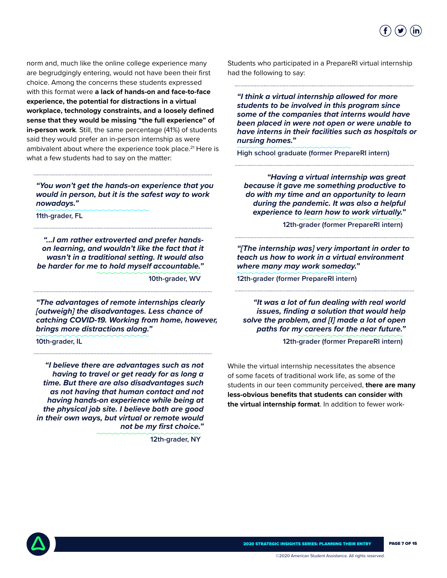

norm and, much like the online college experience many are begrudgingly entering, would not have been their first choice. Among the concerns these students expressed with this format were **a lack of hands-on and face-to-face experience, the potential for distractions in a virtual workplace, technology constraints, and a loosely defined sense that they would be missing "the full experience" of in-person work**. Still, the same percentage (41%) of students said they would prefer an in-person internship as were ambivalent about where the experience took place.<sup>21</sup> Here is what a few students had to say on the matter:

*"You won't get the hands-on experience that you would in person, but it is the safest way to work nowadays."* 

**11th-grader, FL** 

*"...I am rather extroverted and prefer handson learning, and wouldn't like the fact that it wasn't in a traditional setting. It would also be harder for me to hold myself accountable."* 

**10th-grader, WV**

*"The advantages of remote internships clearly [outweigh] the disadvantages. Less chance of catching COVID-19. Working from home, however, brings more distractions along."* 

**10th-grader, IL**

*"I believe there are advantages such as not having to travel or get ready for as long a time. But there are also disadvantages such as not having that human contact and not having hands-on experience while being at the physical job site. I believe both are good in their own ways, but virtual or remote would not be my first choice."* 

**12th-grader, NY**

Students who participated in a PrepareRI virtual internship had the following to say:

*"I think a virtual internship allowed for more students to be involved in this program since some of the companies that interns would have been placed in were not open or were unable to have interns in their facilities such as hospitals or nursing homes."* 

**High school graduate (former PrepareRI intern)** 

*"Having a virtual internship was great because it gave me something productive to do with my time and an opportunity to learn during the pandemic. It was also a helpful experience to learn how to work virtually."* 

**12th-grader (former PrepareRI intern)**

*"[The internship was] very important in order to teach us how to work in a virtual environment where many may work someday."* 

**12th-grader (former PrepareRI intern)**

*"It was a lot of fun dealing with real world issues, finding a solution that would help solve the problem, and [I] made a lot of open paths for my careers for the near future."* 

**12th-grader (former PrepareRI intern)** 

While the virtual internship necessitates the absence of some facets of traditional work life, as some of the students in our teen community perceived, **there are many less-obvious benefits that students can consider with the virtual internship format**. In addition to fewer work-

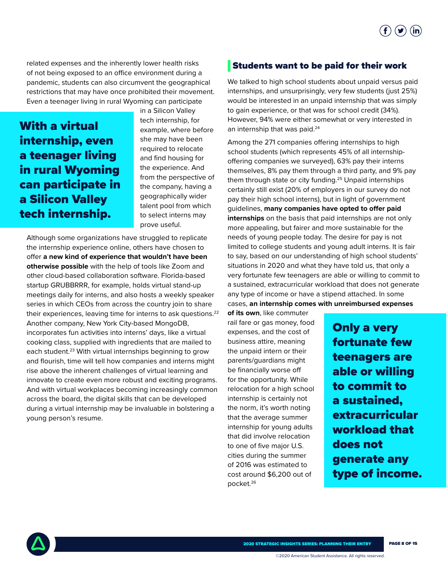

related expenses and the inherently lower health risks of not being exposed to an office environment during a pandemic, students can also circumvent the geographical restrictions that may have once prohibited their movement. Even a teenager living in rural Wyoming can participate

With a virtual internship, even a teenager living in rural Wyoming can participate in a Silicon Valley tech internship.

in a Silicon Valley tech internship, for example, where before she may have been required to relocate and find housing for the experience. And from the perspective of the company, having a geographically wider talent pool from which to select interns may prove useful.

Although some organizations have struggled to replicate the internship experience online, others have chosen to offer **a new kind of experience that wouldn't have been otherwise possible** with the help of tools like Zoom and other cloud-based collaboration software. Florida-based startup GRUBBRRR, for example, holds virtual stand-up meetings daily for interns, and also hosts a weekly speaker series in which CEOs from across the country join to share their experiences, leaving time for interns to ask questions.<sup>22</sup> Another company, New York City-based MongoDB, incorporates fun activities into interns' days, like a virtual cooking class, supplied with ingredients that are mailed to each student.<sup>23</sup> With virtual internships beginning to grow and flourish, time will tell how companies and interns might rise above the inherent challenges of virtual learning and innovate to create even more robust and exciting programs. And with virtual workplaces becoming increasingly common across the board, the digital skills that can be developed during a virtual internship may be invaluable in bolstering a young person's resume.

#### Students want to be paid for their work

We talked to high school students about unpaid versus paid internships, and unsurprisingly, very few students (just 25%) would be interested in an unpaid internship that was simply to gain experience, or that was for school credit (34%). However, 94% were either somewhat or very interested in an internship that was paid.<sup>24</sup>

Among the 271 companies offering internships to high school students (which represents 45% of all internshipoffering companies we surveyed), 63% pay their interns themselves, 8% pay them through a third party, and 9% pay them through state or city funding.<sup>25</sup> Unpaid internships certainly still exist (20% of employers in our survey do not pay their high school interns), but in light of government guidelines, **many companies have opted to offer paid internships** on the basis that paid internships are not only more appealing, but fairer and more sustainable for the needs of young people today. The desire for pay is not limited to college students and young adult interns. It is fair to say, based on our understanding of high school students' situations in 2020 and what they have told us, that only a very fortunate few teenagers are able or willing to commit to a sustained, extracurricular workload that does not generate any type of income or have a stipend attached. In some cases, **an internship comes with unreimbursed expenses** 

**of its own**, like commuter rail fare or gas money, food expenses, and the cost of business attire, meaning the unpaid intern or their parents/guardians might be financially worse off for the opportunity. While relocation for a high school internship is certainly not the norm, it's worth noting that the average summer internship for young adults that did involve relocation to one of five major U.S. cities during the summer of 2016 was estimated to cost around \$6,200 out of pocket.26

Only a very fortunate few teenagers are able or willing to commit to a sustained, extracurricular workload that does not generate any type of income.

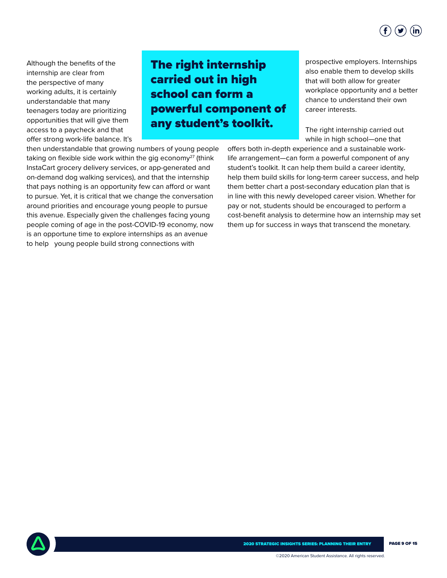

Although the benefits of the internship are clear from the perspective of many working adults, it is certainly understandable that many teenagers today are prioritizing opportunities that will give them access to a paycheck and that offer strong work-life balance. It's

## The right internship carried out in high school can form a powerful component of any student's toolkit.

then understandable that growing numbers of young people taking on flexible side work within the gig economy<sup>27</sup> (think InstaCart grocery delivery services, or app-generated and on-demand dog walking services), and that the internship that pays nothing is an opportunity few can afford or want to pursue. Yet, it is critical that we change the conversation around priorities and encourage young people to pursue this avenue. Especially given the challenges facing young people coming of age in the post-COVID-19 economy, now is an opportune time to explore internships as an avenue to help young people build strong connections with

prospective employers. Internships also enable them to develop skills that will both allow for greater workplace opportunity and a better chance to understand their own career interests.

The right internship carried out while in high school—one that

offers both in-depth experience and a sustainable worklife arrangement—can form a powerful component of any student's toolkit. It can help them build a career identity, help them build skills for long-term career success, and help them better chart a post-secondary education plan that is in line with this newly developed career vision. Whether for pay or not, students should be encouraged to perform a cost-benefit analysis to determine how an internship may set them up for success in ways that transcend the monetary.

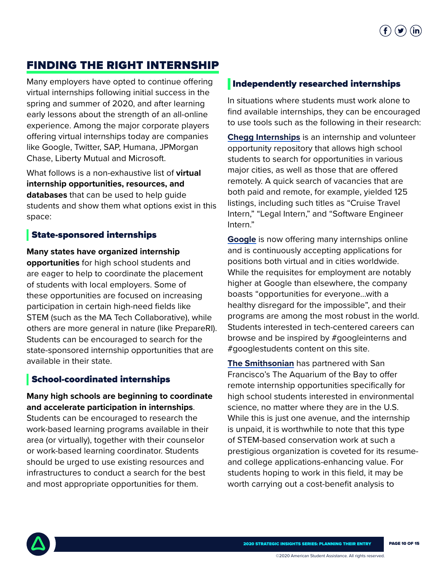## FINDING THE RIGHT INTERNSHIP

Many employers have opted to continue offering virtual internships following initial success in the spring and summer of 2020, and after learning early lessons about the strength of an all-online experience. Among the major corporate players offering virtual internships today are companies like Google, Twitter, SAP, Humana, JPMorgan Chase, Liberty Mutual and Microsoft.

What follows is a non-exhaustive list of **virtual internship opportunities, resources, and databases** that can be used to help guide students and show them what options exist in this space:

### State-sponsored internships

**Many states have organized internship opportunities** for high school students and are eager to help to coordinate the placement of students with local employers. Some of these opportunities are focused on increasing participation in certain high-need fields like STEM (such as the MA Tech Collaborative), while others are more general in nature (like PrepareRI). Students can be encouraged to search for the state-sponsored internship opportunities that are available in their state.

## School-coordinated internships

**Many high schools are beginning to coordinate and accelerate participation in internships**. Students can be encouraged to research the work-based learning programs available in their area (or virtually), together with their counselor or work-based learning coordinator. Students should be urged to use existing resources and infrastructures to conduct a search for the best and most appropriate opportunities for them.

### Independently researched internships

In situations where students must work alone to find available internships, they can be encouraged to use tools such as the following in their research:

**[Chegg Internships](https://www.chegg.com/internships/)** is an internship and volunteer opportunity repository that allows high school students to search for opportunities in various major cities, as well as those that are offered remotely. A quick search of vacancies that are both paid and remote, for example, yielded 125 listings, including such titles as "Cruise Travel Intern," "Legal Intern," and "Software Engineer Intern."

**[Google](https://buildyourfuture.withgoogle.com/internships/)** is now offering many internships online and is continuously accepting applications for positions both virtual and in cities worldwide. While the requisites for employment are notably higher at Google than elsewhere, the company boasts "opportunities for everyone...with a healthy disregard for the impossible", and their programs are among the most robust in the world. Students interested in tech-centered careers can browse and be inspired by #googleinterns and #googlestudents content on this site.

**[The Smithsonian](https://www.google.com/search?q=Aquarium+of+the+Bay&oq=high+school+virtual+internships&aqs=chrome..69i57j0l2j69i60l3.3080j0j4&sourceid=chrome&ie=UTF-8&ibp=htl;jobs&sa=X&ved=2ahUKEwjY1sKhrP3rAhUCn-AKHXMDA10QiYsCKAJ6BAgRECg&sxsrf=ALeKk036qgYHt1676_HwN5RxEYA1HNUlaA:1600797732293#fpstate=tldetail&htivrt=jobs&htichips=job_family_1:high%20school&htischips=job_family_1;high%20school&htidocid=qeLn-aXE_FgWc-KmAAAAAA%3D%3D)** has partnered with San Francisco's The Aquarium of the Bay to offer remote internship opportunities specifically for high school students interested in environmental science, no matter where they are in the U.S. While this is just one avenue, and the internship is unpaid, it is worthwhile to note that this type of STEM-based conservation work at such a prestigious organization is coveted for its resumeand college applications-enhancing value. For students hoping to work in this field, it may be worth carrying out a cost-benefit analysis to

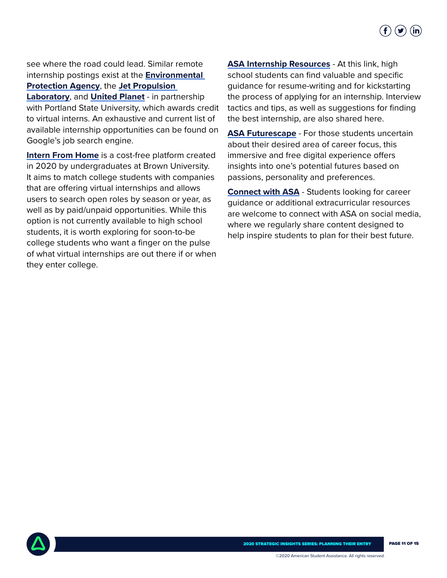

see where the road could lead. Similar remote internship postings exist at the **[Environmental](https://www.google.com/search?q=high+school+virtual+internships&oq=high+school+virtual+internships&aqs=chrome..69i57j0l2j69i60l3.3080j0j4&sourceid=chrome&ie=UTF-8&ibp=htl;jobs&sa=X&ved=2ahUKEwjY1sKhrP3rAhUCn-AKHXMDA10QiYsCKAJ6BAgRECg&sxsrf=ALeKk036qgYHt1676_HwN5RxEYA1HNUlaA:1600797732293#htivrt=jobs&htidocid=ZLXE0mWbTsVg8Y6-AAAAAA%3D%3D&fpstate=tldetail)  [Protection Agency](https://www.google.com/search?q=high+school+virtual+internships&oq=high+school+virtual+internships&aqs=chrome..69i57j0l2j69i60l3.3080j0j4&sourceid=chrome&ie=UTF-8&ibp=htl;jobs&sa=X&ved=2ahUKEwjY1sKhrP3rAhUCn-AKHXMDA10QiYsCKAJ6BAgRECg&sxsrf=ALeKk036qgYHt1676_HwN5RxEYA1HNUlaA:1600797732293#htivrt=jobs&htidocid=ZLXE0mWbTsVg8Y6-AAAAAA%3D%3D&fpstate=tldetail)**, the **[Jet Propulsion](https://www.google.com/search?q=jet+propulsion+laboratory+intern&oq=high+school+virtual+internships&aqs=chrome..69i57j0l2j69i60l3.3080j0j4&sourceid=chrome&ie=UTF-8&ibp=htl;jobs&sa=X&ved=2ahUKEwjY1sKhrP3rAhUCn-AKHXMDA10QiYsCKAJ6BAgRECg&sxsrf=ALeKk036qgYHt1676_HwN5RxEYA1HNUlaA:1600797732293#fpstate=tldetail&htivrt=jobs&htidocid=xC29QumtjwJmyUETAAAAAA%3D%3D)** 

**[Laboratory](https://www.google.com/search?q=jet+propulsion+laboratory+intern&oq=high+school+virtual+internships&aqs=chrome..69i57j0l2j69i60l3.3080j0j4&sourceid=chrome&ie=UTF-8&ibp=htl;jobs&sa=X&ved=2ahUKEwjY1sKhrP3rAhUCn-AKHXMDA10QiYsCKAJ6BAgRECg&sxsrf=ALeKk036qgYHt1676_HwN5RxEYA1HNUlaA:1600797732293#fpstate=tldetail&htivrt=jobs&htidocid=xC29QumtjwJmyUETAAAAAA%3D%3D)**, and **[United Planet](https://www.google.com/search?q=high+school+virtual+internships&oq=high+school+virtual+internships&aqs=chrome..69i57j0l2j69i60l3.3080j0j4&sourceid=chrome&ie=UTF-8&ibp=htl;jobs&sa=X&ved=2ahUKEwjY1sKhrP3rAhUCn-AKHXMDA10QiYsCKAJ6BAgRECg&sxsrf=ALeKk036qgYHt1676_HwN5RxEYA1HNUlaA:1600797732293#htivrt=jobs&fpstate=tldetail&htichips=job_family_1:high%20school&htischips=job_family_1;high%20school&htidocid=w_u14551HFYzvOG7AAAAAA%3D%3D)** - in partnership with Portland State University, which awards credit to virtual interns. An exhaustive and current list of available internship opportunities can be found on Google's job search engine.

**[Intern From Home](https://www.internfromhome.com/)** is a cost-free platform created in 2020 by undergraduates at Brown University. It aims to match college students with companies that are offering virtual internships and allows users to search open roles by season or year, as well as by paid/unpaid opportunities. While this option is not currently available to high school students, it is worth exploring for soon-to-be college students who want a finger on the pulse of what virtual internships are out there if or when they enter college.

**[ASA Internship Resources](https://asa.zoom.us/rec/play/v8ArdOj-rDg3HdCXuASDCv9-W47veqmsgCEc-KAEyx7hViFVYFH3NbAUYed9mtCqNlaPBAVivyufhUPx?startTime=1587666343000&_x_zm_rtaid=U6pEO3AUQAyTSE6DJTtMuw.1588105309908.1226a87ccbce4365e730fd9ec60b1186&_x_zm_rhtaid=958)** - At this link, high school students can find valuable and specific guidance for resume-writing and for kickstarting the process of applying for an internship. Interview tactics and tips, as well as suggestions for finding the best internship, are also shared here.

**[ASA Futurescape](https://asafuturescape.org/)** - For those students uncertain about their desired area of career focus, this immersive and free digital experience offers insights into one's potential futures based on passions, personality and preferences.

**[Connect with ASA](https://twitter.com/ASA_org)** - Students looking for career guidance or additional extracurricular resources are welcome to connect with ASA on social media, where we regularly share content designed to help inspire students to plan for their best future.

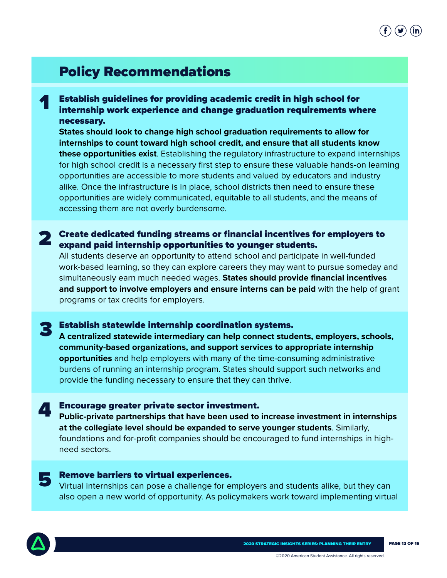# $\mathbf{f}$  )  $(\mathbf{y})$  (in

# Policy Recommendations

Establish guidelines for providing academic credit in high school for internship work experience and change graduation requirements where necessary.

**States should look to change high school graduation requirements to allow for internships to count toward high school credit, and ensure that all students know these opportunities exist**. Establishing the regulatory infrastructure to expand internships for high school credit is a necessary first step to ensure these valuable hands-on learning opportunities are accessible to more students and valued by educators and industry alike. Once the infrastructure is in place, school districts then need to ensure these opportunities are widely communicated, equitable to all students, and the means of accessing them are not overly burdensome.

#### 2 Create dedicated funding streams or financial incentives for employers to expand paid internship opportunities to younger students.

All students deserve an opportunity to attend school and participate in well-funded work-based learning, so they can explore careers they may want to pursue someday and simultaneously earn much needed wages. **States should provide financial incentives and support to involve employers and ensure interns can be paid** with the help of grant programs or tax credits for employers.

# **3** Establish statewide internship coordination systems.<br>A centralized statewide intermediary can help connect stude

**A centralized statewide intermediary can help connect students, employers, schools, community-based organizations, and support services to appropriate internship opportunities** and help employers with many of the time-consuming administrative burdens of running an internship program. States should support such networks and provide the funding necessary to ensure that they can thrive.

#### 4 Encourage greater private sector investment.

**Public-private partnerships that have been used to increase investment in internships at the collegiate level should be expanded to serve younger students**. Similarly, foundations and for-profit companies should be encouraged to fund internships in highneed sectors.

#### 5 Remove barriers to virtual experiences.

Virtual internships can pose a challenge for employers and students alike, but they can also open a new world of opportunity. As policymakers work toward implementing virtual



1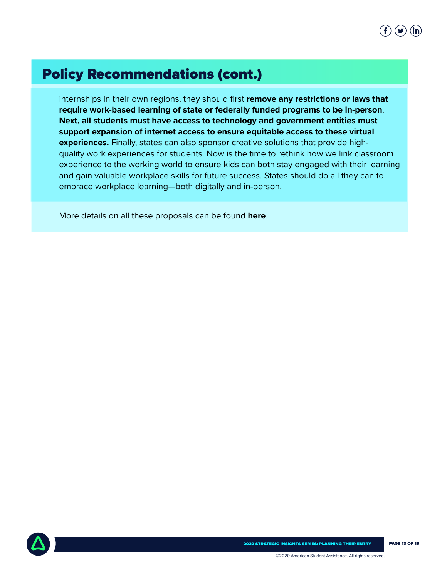# Policy Recommendations (cont.)

internships in their own regions, they should first **remove any restrictions or laws that require work-based learning of state or federally funded programs to be in-person**. **Next, all students must have access to technology and government entities must support expansion of internet access to ensure equitable access to these virtual experiences.** Finally, states can also sponsor creative solutions that provide highquality work experiences for students. Now is the time to rethink how we link classroom experience to the working world to ensure kids can both stay engaged with their learning and gain valuable workplace skills for future success. States should do all they can to embrace workplace learning—both digitally and in-person.

More details on all these proposals can be found **[here](https://www.asa.org/advocacy/#policy-recommendations)**.

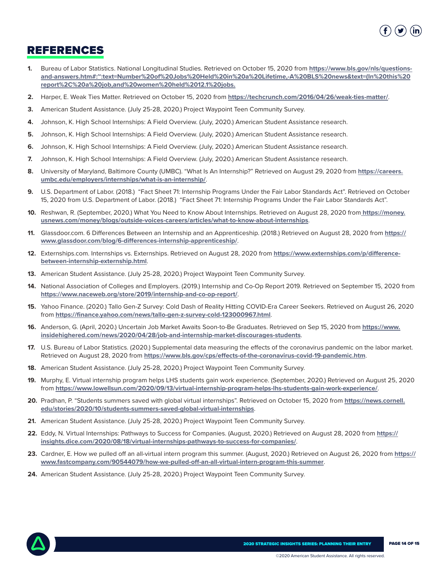

## REFERENCES

- **1.** Bureau of Labor Statistics. National Longitudinal Studies. Retrieved on October 15, 2020 from **[https://www.bls.gov/nls/questions](https://www.bls.gov/nls/questions-and-answers.htm#:~:text=Number%20of%20Jobs%20Held%20in%20a%20Lifetime,-A%20BLS%20news&text=(In%20this%20report%2C%20a%20job,and%20women%20held%2012.1%20jobs. )[and-answers.htm#:~:text=Number%20of%20Jobs%20Held%20in%20a%20Lifetime,-A%20BLS%20news&text=\(In%20this%20](https://www.bls.gov/nls/questions-and-answers.htm#:~:text=Number%20of%20Jobs%20Held%20in%20a%20Lifetime,-A%20BLS%20news&text=(In%20this%20report%2C%20a%20job,and%20women%20held%2012.1%20jobs. ) [report%2C%20a%20job,and%20women%20held%2012.1%20jobs.](https://www.bls.gov/nls/questions-and-answers.htm#:~:text=Number%20of%20Jobs%20Held%20in%20a%20Lifetime,-A%20BLS%20news&text=(In%20this%20report%2C%20a%20job,and%20women%20held%2012.1%20jobs. )**
- **2.** Harper, E. Weak Ties Matter. Retrieved on October 15, 2020 from **https://techcrunch.com/2016/04/26/weak-ties-matter/**.
- **3.** American Student Assistance. (July 25-28, 2020.) Project Waypoint Teen Community Survey.
- **4.** Johnson, K. High School Internships: A Field Overview. (July, 2020.) American Student Assistance research.
- **5.** Johnson, K. High School Internships: A Field Overview. (July, 2020.) American Student Assistance research.
- **6.** Johnson, K. High School Internships: A Field Overview. (July, 2020.) American Student Assistance research.
- **7.** Johnson, K. High School Internships: A Field Overview. (July, 2020.) American Student Assistance research.
- **8.** University of Maryland, Baltimore County (UMBC). "What Is An Internship?" Retrieved on August 29, 2020 from **https://careers. umbc.edu/employers/internships/what-is-an-internship/**.
- **9.** U.S. Department of Labor. (2018.) "Fact Sheet 71: Internship Programs Under the Fair Labor Standards Act". Retrieved on October 15, 2020 from U.S. Department of Labor. (2018.) "Fact Sheet 71: Internship Programs Under the Fair Labor Standards Act".
- **10.** Reshwan, R. (September, 2020.) What You Need to Know About Internships. Retrieved on August 28, 2020 from **https://money. usnews.com/money/blogs/outside-voices-careers/articles/what-to-know-about-internships**.
- **11.** Glassdoor.com. 6 Differences Between an Internship and an Apprenticeship. (2018.) Retrieved on August 28, 2020 from **https:// www.glassdoor.com/blog/6-differences-internship-apprenticeship/**.
- **12.** Externships.com. Internships vs. Externships. Retrieved on August 28, 2020 from **https://www.externships.com/p/differencebetween-internship-externship.html**.
- **13.** American Student Assistance. (July 25-28, 2020.) Project Waypoint Teen Community Survey.
- **14.** National Association of Colleges and Employers. (2019.) Internship and Co-Op Report 2019. Retrieved on September 15, 2020 from **https://www.naceweb.org/store/2019/internship-and-co-op-report/**.
- **15.** Yahoo Finance. (2020.) Tallo Gen-Z Survey: Cold Dash of Reality Hitting COVID-Era Career Seekers. Retrieved on August 26, 2020 from **https://finance.yahoo.com/news/tallo-gen-z-survey-cold-123000967.html**.
- **16.** Anderson, G. (April, 2020.) Uncertain Job Market Awaits Soon-to-Be Graduates. Retrieved on Sep 15, 2020 from **https://www. insidehighered.com/news/2020/04/28/job-and-internship-market-discourages-students**.
- **17.** U.S. Bureau of Labor Statistics. (2020.) Supplemental data measuring the effects of the coronavirus pandemic on the labor market. Retrieved on August 28, 2020 from **https://www.bls.gov/cps/effects-of-the-coronavirus-covid-19-pandemic.htm**.
- **18.** American Student Assistance. (July 25-28, 2020.) Project Waypoint Teen Community Survey.
- **19.** Murphy, E. Virtual internship program helps LHS students gain work experience. (September, 2020.) Retrieved on August 25, 2020 from **https://www.lowellsun.com/2020/09/13/virtual-internship-program-helps-lhs-students-gain-work-experience/**.
- **20.** Pradhan, P. "Students summers saved with global virtual internships". Retrieved on October 15, 2020 from **https://news.cornell. edu/stories/2020/10/students-summers-saved-global-virtual-internships**.
- **21.** American Student Assistance. (July 25-28, 2020.) Project Waypoint Teen Community Survey.
- **22.** Eddy, N. Virtual Internships: Pathways to Success for Companies. (August, 2020.) Retrieved on August 28, 2020 from **https:// insights.dice.com/2020/08/18/virtual-internships-pathways-to-success-for-companies/**.
- **23.** Cardner, E. How we pulled off an all-virtual intern program this summer. (August, 2020.) Retrieved on August 26, 2020 from **https:// www.fastcompany.com/90544079/how-we-pulled-off-an-all-virtual-intern-program-this-summer**.
- **24.** American Student Assistance. (July 25-28, 2020.) Project Waypoint Teen Community Survey.